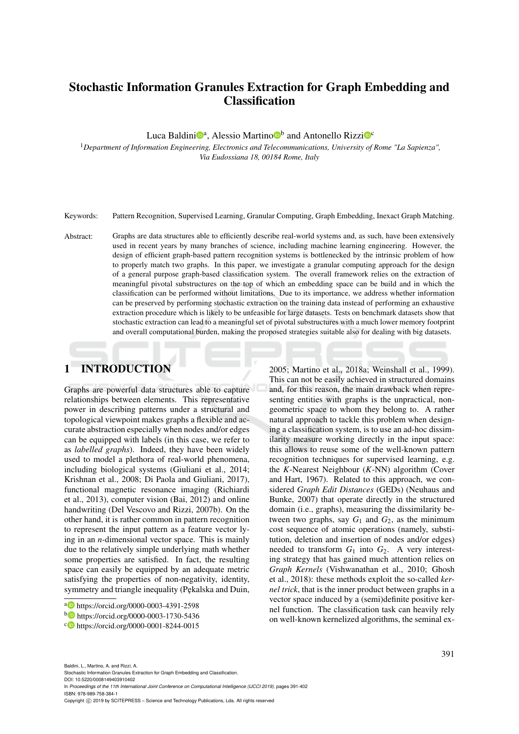# Stochastic Information Granules Extraction for Graph Embedding and Classification

Luca Baldini<sup>n</sup>, Alessio Martino<sup>n</sup> and Antonello Rizzi<sup>n</sup><sup>c</sup>

<sup>1</sup>*Department of Information Engineering, Electronics and Telecommunications, University of Rome "La Sapienza", Via Eudossiana 18, 00184 Rome, Italy*

Keywords: Pattern Recognition, Supervised Learning, Granular Computing, Graph Embedding, Inexact Graph Matching.

Abstract: Graphs are data structures able to efficiently describe real-world systems and, as such, have been extensively used in recent years by many branches of science, including machine learning engineering. However, the design of efficient graph-based pattern recognition systems is bottlenecked by the intrinsic problem of how to properly match two graphs. In this paper, we investigate a granular computing approach for the design of a general purpose graph-based classification system. The overall framework relies on the extraction of meaningful pivotal substructures on the top of which an embedding space can be build and in which the classification can be performed without limitations. Due to its importance, we address whether information can be preserved by performing stochastic extraction on the training data instead of performing an exhaustive extraction procedure which is likely to be unfeasible for large datasets. Tests on benchmark datasets show that stochastic extraction can lead to a meaningful set of pivotal substructures with a much lower memory footprint and overall computational burden, making the proposed strategies suitable also for dealing with big datasets.

# 1 INTRODUCTION

Graphs are powerful data structures able to capture relationships between elements. This representative power in describing patterns under a structural and topological viewpoint makes graphs a flexible and accurate abstraction especially when nodes and/or edges can be equipped with labels (in this case, we refer to as *labelled graphs*). Indeed, they have been widely used to model a plethora of real-world phenomena, including biological systems (Giuliani et al., 2014; Krishnan et al., 2008; Di Paola and Giuliani, 2017), functional magnetic resonance imaging (Richiardi et al., 2013), computer vision (Bai, 2012) and online handwriting (Del Vescovo and Rizzi, 2007b). On the other hand, it is rather common in pattern recognition to represent the input pattern as a feature vector lying in an *n*-dimensional vector space. This is mainly due to the relatively simple underlying math whether some properties are satisfied. In fact, the resulting space can easily be equipped by an adequate metric satisfying the properties of non-negativity, identity, symmetry and triangle inequality (Pękalska and Duin,

2005; Martino et al., 2018a; Weinshall et al., 1999). This can not be easily achieved in structured domains and, for this reason, the main drawback when representing entities with graphs is the unpractical, nongeometric space to whom they belong to. A rather natural approach to tackle this problem when designing a classification system, is to use an ad-hoc dissimilarity measure working directly in the input space: this allows to reuse some of the well-known pattern recognition techniques for supervised learning, e.g. the *K*-Nearest Neighbour (*K*-NN) algorithm (Cover and Hart, 1967). Related to this approach, we considered *Graph Edit Distances* (GEDs) (Neuhaus and Bunke, 2007) that operate directly in the structured domain (i.e., graphs), measuring the dissimilarity between two graphs, say  $G_1$  and  $G_2$ , as the minimum cost sequence of atomic operations (namely, substitution, deletion and insertion of nodes and/or edges) needed to transform  $G_1$  into  $G_2$ . A very interesting strategy that has gained much attention relies on *Graph Kernels* (Vishwanathan et al., 2010; Ghosh et al., 2018): these methods exploit the so-called *kernel trick*, that is the inner product between graphs in a vector space induced by a (semi)definite positive kernel function. The classification task can heavily rely on well-known kernelized algorithms, the seminal ex-

Stochastic Information Granules Extraction for Graph Embedding and Classification.

DOI: 10.5220/0008149403910402 In *Proceedings of the 11th International Joint Conference on Computational Intelligence (IJCCI 2019)*, pages 391-402 ISBN: 978-989-758-384-1

Copyright (C) 2019 by SCITEPRESS - Science and Technology Publications, Lda. All rights reserved

<sup>a</sup> https://orcid.org/0000-0003-4391-2598

<sup>b</sup> https://orcid.org/0000-0003-1730-5436

<sup>c</sup> https://orcid.org/0000-0001-8244-0015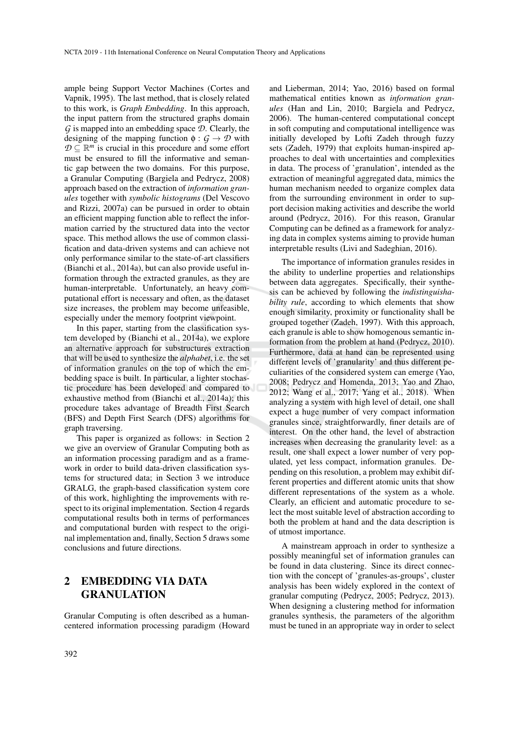ample being Support Vector Machines (Cortes and Vapnik, 1995). The last method, that is closely related to this work, is *Graph Embedding*. In this approach, the input pattern from the structured graphs domain *G* is mapped into an embedding space *D*. Clearly, the designing of the mapping function  $\phi : G \to \mathcal{D}$  with  $D \subseteq \mathbb{R}^m$  is crucial in this procedure and some effort must be ensured to fill the informative and semantic gap between the two domains. For this purpose, a Granular Computing (Bargiela and Pedrycz, 2008) approach based on the extraction of *information granules* together with *symbolic histograms* (Del Vescovo and Rizzi, 2007a) can be pursued in order to obtain an efficient mapping function able to reflect the information carried by the structured data into the vector space. This method allows the use of common classification and data-driven systems and can achieve not only performance similar to the state-of-art classifiers (Bianchi et al., 2014a), but can also provide useful information through the extracted granules, as they are human-interpretable. Unfortunately, an heavy computational effort is necessary and often, as the dataset size increases, the problem may become unfeasible, especially under the memory footprint viewpoint.

In this paper, starting from the classification system developed by (Bianchi et al., 2014a), we explore an alternative approach for substructures extraction that will be used to synthesize the *alphabet*, i.e. the set of information granules on the top of which the embedding space is built. In particular, a lighter stochastic procedure has been developed and compared to exhaustive method from (Bianchi et al., 2014a); this procedure takes advantage of Breadth First Search (BFS) and Depth First Search (DFS) algorithms for graph traversing.

This paper is organized as follows: in Section 2 we give an overview of Granular Computing both as an information processing paradigm and as a framework in order to build data-driven classification systems for structured data; in Section 3 we introduce GRALG, the graph-based classification system core of this work, highlighting the improvements with respect to its original implementation. Section 4 regards computational results both in terms of performances and computational burden with respect to the original implementation and, finally, Section 5 draws some conclusions and future directions.

## 2 EMBEDDING VIA DATA GRANULATION

Granular Computing is often described as a humancentered information processing paradigm (Howard

and Lieberman, 2014; Yao, 2016) based on formal mathematical entities known as *information granules* (Han and Lin, 2010; Bargiela and Pedrycz, 2006). The human-centered computational concept in soft computing and computational intelligence was initially developed by Lofti Zadeh through fuzzy sets (Zadeh, 1979) that exploits human-inspired approaches to deal with uncertainties and complexities in data. The process of 'granulation', intended as the extraction of meaningful aggregated data, mimics the human mechanism needed to organize complex data from the surrounding environment in order to support decision making activities and describe the world around (Pedrycz, 2016). For this reason, Granular Computing can be defined as a framework for analyzing data in complex systems aiming to provide human interpretable results (Livi and Sadeghian, 2016).

The importance of information granules resides in the ability to underline properties and relationships between data aggregates. Specifically, their synthesis can be achieved by following the *indistinguishability rule*, according to which elements that show enough similarity, proximity or functionality shall be grouped together (Zadeh, 1997). With this approach, each granule is able to show homogenous semantic information from the problem at hand (Pedrycz, 2010). Furthermore, data at hand can be represented using different levels of 'granularity' and thus different peculiarities of the considered system can emerge (Yao, 2008; Pedrycz and Homenda, 2013; Yao and Zhao, 2012; Wang et al., 2017; Yang et al., 2018). When analyzing a system with high level of detail, one shall expect a huge number of very compact information granules since, straightforwardly, finer details are of interest. On the other hand, the level of abstraction increases when decreasing the granularity level: as a result, one shall expect a lower number of very populated, yet less compact, information granules. Depending on this resolution, a problem may exhibit different properties and different atomic units that show different representations of the system as a whole. Clearly, an efficient and automatic procedure to select the most suitable level of abstraction according to both the problem at hand and the data description is of utmost importance.

A mainstream approach in order to synthesize a possibly meaningful set of information granules can be found in data clustering. Since its direct connection with the concept of 'granules-as-groups', cluster analysis has been widely explored in the context of granular computing (Pedrycz, 2005; Pedrycz, 2013). When designing a clustering method for information granules synthesis, the parameters of the algorithm must be tuned in an appropriate way in order to select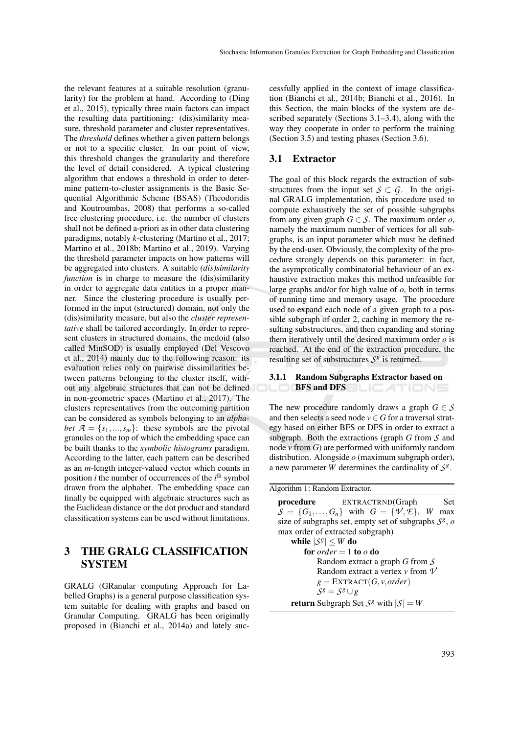the relevant features at a suitable resolution (granularity) for the problem at hand. According to (Ding et al., 2015), typically three main factors can impact the resulting data partitioning: (dis)similarity measure, threshold parameter and cluster representatives. The *threshold* defines whether a given pattern belongs or not to a specific cluster. In our point of view, this threshold changes the granularity and therefore the level of detail considered. A typical clustering algorithm that endows a threshold in order to determine pattern-to-cluster assignments is the Basic Sequential Algorithmic Scheme (BSAS) (Theodoridis and Koutroumbas, 2008) that performs a so-called free clustering procedure, i.e. the number of clusters shall not be defined a-priori as in other data clustering paradigms, notably *k*-clustering (Martino et al., 2017; Martino et al., 2018b; Martino et al., 2019). Varying the threshold parameter impacts on how patterns will be aggregated into clusters. A suitable *(dis)similarity function* is in charge to measure the (dis)similarity in order to aggregate data entities in a proper manner. Since the clustering procedure is usually performed in the input (structured) domain, not only the (dis)similarity measure, but also the *cluster representative* shall be tailored accordingly. In order to represent clusters in structured domains, the medoid (also called MinSOD) is usually employed (Del Vescovo et al., 2014) mainly due to the following reason: its evaluation relies only on pairwise dissimilarities between patterns belonging to the cluster itself, without any algebraic structures that can not be defined in non-geometric spaces (Martino et al., 2017). The clusters representatives from the outcoming partition can be considered as symbols belonging to an *alphabet*  $A = \{s_1, \ldots, s_m\}$ : these symbols are the pivotal granules on the top of which the embedding space can be built thanks to the *symbolic histograms* paradigm. According to the latter, each pattern can be described as an *m*-length integer-valued vector which counts in position *i* the number of occurrences of the *i*<sup>th</sup> symbol drawn from the alphabet. The embedding space can finally be equipped with algebraic structures such as the Euclidean distance or the dot product and standard classification systems can be used without limitations.

## 3 THE GRALG CLASSIFICATION **SYSTEM**

GRALG (GRanular computing Approach for Labelled Graphs) is a general purpose classification system suitable for dealing with graphs and based on Granular Computing. GRALG has been originally proposed in (Bianchi et al., 2014a) and lately successfully applied in the context of image classification (Bianchi et al., 2014b; Bianchi et al., 2016). In this Section, the main blocks of the system are described separately (Sections 3.1–3.4), along with the way they cooperate in order to perform the training (Section 3.5) and testing phases (Section 3.6).

## 3.1 Extractor

The goal of this block regards the extraction of substructures from the input set  $S \subset G$ . In the original GRALG implementation, this procedure used to compute exhaustively the set of possible subgraphs from any given graph  $G \in S$ . The maximum order  $o$ , namely the maximum number of vertices for all subgraphs, is an input parameter which must be defined by the end-user. Obviously, the complexity of the procedure strongly depends on this parameter: in fact, the asymptotically combinatorial behaviour of an exhaustive extraction makes this method unfeasible for large graphs and/or for high value of *o*, both in terms of running time and memory usage. The procedure used to expand each node of a given graph to a possible subgraph of order 2, caching in memory the resulting substructures, and then expanding and storing them iteratively until the desired maximum order *o* is reached. At the end of the extraction procedure, the resulting set of substructures  $S^g$  is returned.

### 3.1.1 Random Subgraphs Extractor based on LOCBFS and DFS BLICATIONS

The new procedure randomly draws a graph  $G \in S$ and then selects a seed node  $v \in G$  for a traversal strategy based on either BFS or DFS in order to extract a subgraph. Both the extractions (graph *G* from *S* and node  $\nu$  from  $\vec{G}$ ) are performed with uniformly random distribution. Alongside *o* (maximum subgraph order), a new parameter *W* determines the cardinality of  $S^g$ .

| Algorithm 1: Random Extractor.                                       |     |
|----------------------------------------------------------------------|-----|
| EXTRACTRND(Graph<br>procedure                                        | Set |
| $S = \{G_1, \ldots, G_n\}$ with $G = \{\psi, \mathcal{L}\}\$ , W max |     |
| size of subgraphs set, empty set of subgraphs $S^g$ , o              |     |
| max order of extracted subgraph)                                     |     |
| while $ S^g  \leq W$ do                                              |     |
| for <i>order</i> = 1 to <i>o</i> do                                  |     |
| Random extract a graph G from $\mathcal S$                           |     |
| Random extract a vertex $\nu$ from $\nu$                             |     |
| $g = \text{EXTRACT}(G, v, order)$                                    |     |
| $S^g = S^g \cup g$                                                   |     |
| <b>return</b> Subgraph Set $S^g$ with $ S  = W$                      |     |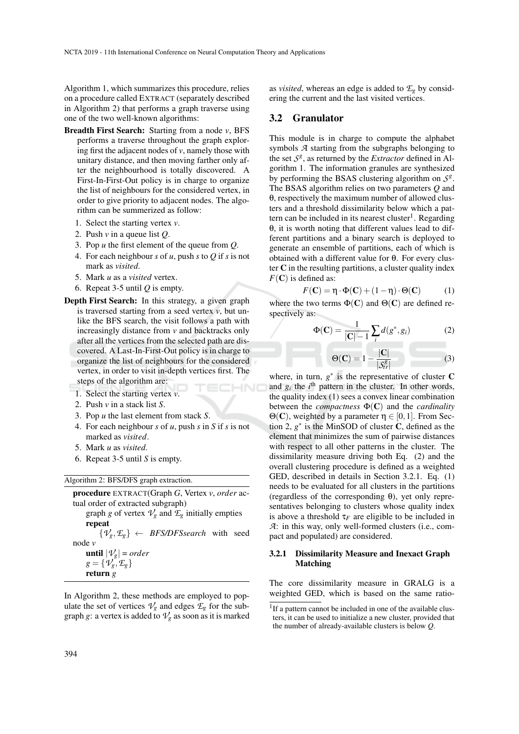Algorithm 1, which summarizes this procedure, relies on a procedure called EXTRACT (separately described in Algorithm 2) that performs a graph traverse using one of the two well-known algorithms:

- Breadth First Search: Starting from a node *v*, BFS performs a traverse throughout the graph exploring first the adjacent nodes of  $\nu$ , namely those with unitary distance, and then moving farther only after the neighbourhood is totally discovered. A First-In-First-Out policy is in charge to organize the list of neighbours for the considered vertex, in order to give priority to adjacent nodes. The algorithm can be summerized as follow:
	- 1. Select the starting vertex *v*.
	- 2. Push *v* in a queue list *Q*.
	- 3. Pop *u* the first element of the queue from *Q*.
	- 4. For each neighbour *s* of *u*, push *s* to *Q* if *s* is not mark as *visited*.
	- 5. Mark *u* as a *visited* vertex.
	- 6. Repeat 3-5 until *Q* is empty.
- Depth First Search: In this strategy, a given graph is traversed starting from a seed vertex *v*, but unlike the BFS search, the visit follows a path with increasingly distance from *v* and backtracks only after all the vertices from the selected path are discovered. A Last-In-First-Out policy is in charge to organize the list of neighbours for the considered vertex, in order to visit in-depth vertices first. The steps of the algorithm are: HNC
	- 1. Select the starting vertex *v*.
	- 2. Push *v* in a stack list *S*.
	- 3. Pop *u* the last element from stack *S*.
	- 4. For each neighbour *s* of *u*, push *s* in *S* if *s* is not marked as *visited*.
	- 5. Mark *u* as *visited*.
	- 6. Repeat 3-5 until *S* is empty.

| Algorithm 2: BFS/DFS graph extraction. |  |  |  |
|----------------------------------------|--|--|--|
|----------------------------------------|--|--|--|

| <b>procedure</b> EXTRACT(Graph $G$ , Vertex $v$ , order ac-               |
|---------------------------------------------------------------------------|
| tual order of extracted subgraph)                                         |
| graph g of vertex $\mathcal{V}_g$ and $\mathcal{I}_g$ initially empties   |
| repeat                                                                    |
| $\{\mathcal{V}_{g}, \mathcal{F}_{g}\} \leftarrow$ BFS/DFSsearch with seed |
| node $\nu$                                                                |
| <b>until</b> $ \mathcal{V}_g $ = order                                    |
| $g = \{\mathcal{V}_g, \mathcal{E}_g\}$                                    |
| return $g$                                                                |
|                                                                           |

In Algorithm 2, these methods are employed to populate the set of vertices  $V_g$  and edges  $\mathcal{L}_g$  for the subgraph *g*: a vertex is added to  $\mathcal{V}_g$  as soon as it is marked

as *visited*, whereas an edge is added to  $\mathcal{L}_g$  by considering the current and the last visited vertices.

#### 3.2 Granulator

This module is in charge to compute the alphabet symbols *A* starting from the subgraphs belonging to the set  $S^g$ , as returned by the *Extractor* defined in Algorithm 1. The information granules are synthesized by performing the BSAS clustering algorithm on  $S^g$ . The BSAS algorithm relies on two parameters *Q* and θ, respectively the maximum number of allowed clusters and a threshold dissimilarity below which a pattern can be included in its nearest cluster<sup>1</sup>. Regarding θ, it is worth noting that different values lead to different partitions and a binary search is deployed to generate an ensemble of partitions, each of which is obtained with a different value for θ. For every cluster  $C$  in the resulting partitions, a cluster quality index  $F(\mathbf{C})$  is defined as:

$$
F(\mathbf{C}) = \eta \cdot \Phi(\mathbf{C}) + (1 - \eta) \cdot \Theta(\mathbf{C}) \tag{1}
$$

where the two terms  $\Phi(C)$  and  $\Theta(C)$  are defined respectively as:

$$
\Phi(\mathbf{C}) = \frac{1}{|\mathbf{C}| - 1} \sum_{i} d(g^*, g_i)
$$
 (2)

$$
\Theta(\mathbf{C}) = 1 - \frac{|\mathbf{C}|}{|\mathcal{S}_tr^g|} \tag{3}
$$

where, in turn,  $g^*$  is the representative of cluster  $C$ and  $g_i$  the  $i^{\text{th}}$  pattern in the cluster. In other words, the quality index (1) sees a convex linear combination between the *compactness* Φ(C) and the *cardinality* Θ(C), weighted by a parameter  $η \in [0,1]$ . From Section 2,  $g^*$  is the MinSOD of cluster  $C$ , defined as the element that minimizes the sum of pairwise distances with respect to all other patterns in the cluster. The dissimilarity measure driving both Eq. (2) and the overall clustering procedure is defined as a weighted GED, described in details in Section 3.2.1. Eq. (1) needs to be evaluated for all clusters in the partitions (regardless of the corresponding  $\theta$ ), yet only representatives belonging to clusters whose quality index is above a threshold  $\tau_F$  are eligible to be included in *A*: in this way, only well-formed clusters (i.e., compact and populated) are considered.

#### 3.2.1 Dissimilarity Measure and Inexact Graph Matching

The core dissimilarity measure in GRALG is a weighted GED, which is based on the same ratio-

<sup>&</sup>lt;sup>1</sup>If a pattern cannot be included in one of the available clusters, it can be used to initialize a new cluster, provided that the number of already-available clusters is below *Q*.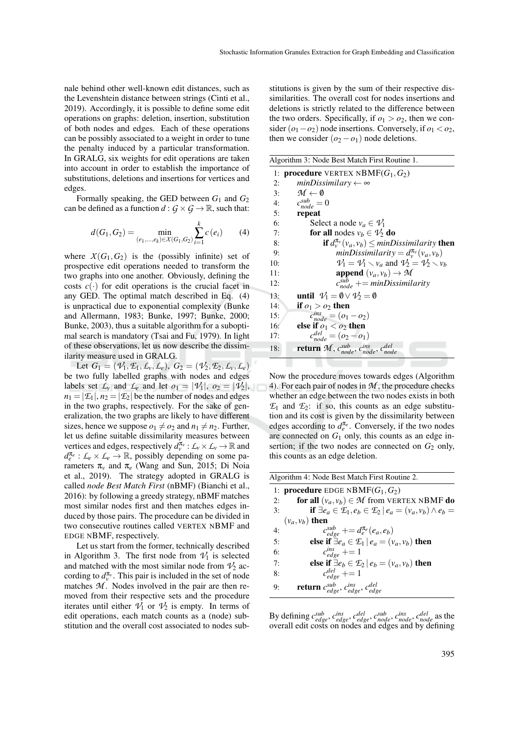nale behind other well-known edit distances, such as the Levenshtein distance between strings (Cinti et al., 2019). Accordingly, it is possible to define some edit operations on graphs: deletion, insertion, substitution of both nodes and edges. Each of these operations can be possibly associated to a weight in order to tune the penalty induced by a particular transformation. In GRALG, six weights for edit operations are taken into account in order to establish the importance of substitutions, deletions and insertions for vertices and edges.

Formally speaking, the GED between *G*<sup>1</sup> and *G*<sup>2</sup> can be defined as a function  $d: G \times G \rightarrow \mathbb{R}$ , such that:

$$
d(G_1, G_2) = \min_{(e_1, \dots, e_k) \in X(G_1, G_2)} \sum_{i=1}^{k} c(e_i)
$$
 (4)

where  $X(G_1, G_2)$  is the (possibly infinite) set of prospective edit operations needed to transform the two graphs into one another. Obviously, defining the costs  $c(\cdot)$  for edit operations is the crucial facet in any GED. The optimal match described in Eq. (4) is unpractical due to exponential complexity (Bunke and Allermann, 1983; Bunke, 1997; Bunke, 2000; Bunke, 2003), thus a suitable algorithm for a suboptimal search is mandatory (Tsai and Fu, 1979). In light of these observations, let us now describe the dissimilarity measure used in GRALG.

Let  $G_1 = (\mathcal{V}_1, \mathcal{E}_1, \mathcal{L}_v, \mathcal{L}_e), G_2 = (\mathcal{V}_2, \mathcal{E}_2, \mathcal{L}_v, \mathcal{L}_e)$ be two fully labelled graphs with nodes and edges labels set  $L_v$  and  $L_e$  and let  $o_1 = |\mathcal{V}_1|, o_2 = |\mathcal{V}_2|,$  $n_1 = |\mathcal{E}_1|, n_2 = |\mathcal{E}_2|$  be the number of nodes and edges in the two graphs, respectively. For the sake of generalization, the two graphs are likely to have different sizes, hence we suppose  $o_1 \neq o_2$  and  $n_1 \neq n_2$ . Further, let us define suitable dissimilarity measures between vertices and edges, respectively  $d_v^{\pi_v}$ :  $\mathcal{L}_v \times \mathcal{L}_v \to \mathbb{R}$  and  $d_e^{\pi_e}: L_e \times L_e \to \mathbb{R}$ , possibly depending on some parameters  $π<sub>ν</sub>$  and  $π<sub>e</sub>$  (Wang and Sun, 2015; Di Noia et al., 2019). The strategy adopted in GRALG is called *node Best Match First* (nBMF) (Bianchi et al., 2016): by following a greedy strategy, nBMF matches most similar nodes first and then matches edges induced by those pairs. The procedure can be divided in two consecutive routines called VERTEX NBMF and EDGE NBMF, respectively.

Let us start from the former, technically described in Algorithm 3. The first node from  $\mathcal{V}_1$  is selected and matched with the most similar node from  $\mathcal{V}_2$  according to  $d_v^{\pi_v}$ . This pair is included in the set of node matches  $M$ . Nodes involved in the pair are then removed from their respective sets and the procedure iterates until either  $V_1$  or  $V_2$  is empty. In terms of edit operations, each match counts as a (node) substitution and the overall cost associated to nodes sub-

stitutions is given by the sum of their respective dissimilarities. The overall cost for nodes insertions and deletions is strictly related to the difference between the two orders. Specifically, if  $o_1 > o_2$ , then we consider  $(o_1 - o_2)$  node insertions. Conversely, if  $o_1 < o_2$ , then we consider  $(o_2 - o_1)$  node deletions.

| Algorithm 3: Node Best Match First Routine 1.                                               |
|---------------------------------------------------------------------------------------------|
| <b>procedure</b> VERTEX NBMF $(G_1, G_2)$<br>1:                                             |
| $minDissimilary \leftarrow \infty$<br>2:                                                    |
| $\mathcal{M} \leftarrow \emptyset$<br>3:                                                    |
| $c_{node}^{sub} = 0$<br>4:                                                                  |
| 5:<br>repeat                                                                                |
| Select a node $v_a \in V_1$<br>6:                                                           |
| for all nodes $v_b \in V_2$ do<br>7:                                                        |
| <b>if</b> $d_{\nu}^{\pi_{\nu}}(v_a, v_b) \leq minDissimilarity$ then<br>8:                  |
| $minDissimilarity = d_v^{\pi_v}(v_a, v_b)$<br>g.                                            |
| $V_1 = V_1 \setminus v_a$ and $V_2 = V_2 \setminus v_b$<br>10:                              |
| append $(v_a, v_b) \rightarrow M$<br>11:                                                    |
| $c_{node}^{sub}$ += minDissimilarity<br>12:                                                 |
| until $V_1 = \emptyset \vee V_2 = \emptyset$<br>13:                                         |
| 14:<br>if $o_1 > o_2$ then                                                                  |
| $c_{node}^{ins} = (o_1 - o_2)$<br>15:                                                       |
| else if $o_1 < o_2$ then<br>16:                                                             |
| $c_{node}^{del} = (o_2 - o_1)$<br>17:                                                       |
| <b>return</b> $\mathcal{M}$ , $c_{node}^{sub}$ , $c_{node}^{ins}$ , $c_{node}^{del}$<br>18: |
|                                                                                             |

Now the procedure moves towards edges (Algorithm 4). For each pair of nodes in *M* , the procedure checks whether an edge between the two nodes exists in both  $\mathcal{E}_1$  and  $\mathcal{E}_2$ : if so, this counts as an edge substitution and its cost is given by the dissimilarity between edges according to  $d_e^{\pi_e}$ . Conversely, if the two nodes are connected on  $G_1$  only, this counts as an edge insertion; if the two nodes are connected on  $G_2$  only, this counts as an edge deletion.

|                | Algorithm 4: Node Best Match First Routine 2.                                                |
|----------------|----------------------------------------------------------------------------------------------|
|                | 1: <b>procedure</b> EDGE NBMF $(G_1, G_2)$                                                   |
| 2:             | for all $(v_a, v_b) \in M$ from VERTEX NBMF do                                               |
| $\mathbf{3}$ : | if $\exists e_a \in \mathcal{E}_1, e_b \in \mathcal{E}_2 \mid e_a = (v_a, v_b) \wedge e_b =$ |
|                | $(v_a, v_b)$ then                                                                            |
| 4:             | $c_{edge}^{sub}$ + = $d_e^{\pi_e}(e_a, e_b)$                                                 |
| 5:             | else if $\exists e_a \in \mathcal{L}_1   e_a = (v_a, v_b)$ then                              |
| 6:             | $c_{\text{edge}}^{\text{ins}} \rightarrow 1$                                                 |
| 7:             | else if $\exists e_b \in \mathcal{F}_2   e_b = (v_a, v_b)$ then                              |
| 8:             | $c_{\text{edge}}^{\text{del}} \rightarrow 1$                                                 |
| 9:             | <b>return</b> $c_{edge}^{sub}$ , $c_{edge}^{ins}$ , $c_{edge}^{del}$                         |

By defining  $c_{edge}^{sub}$ ,  $c_{edge}^{ins}$ ,  $c_{edge}^{del}$ ,  $c_{node}^{sub}$ ,  $c_{node}^{ins}$ ,  $c_{node}^{del}$  as the overall edit costs on nodes and edges and by defining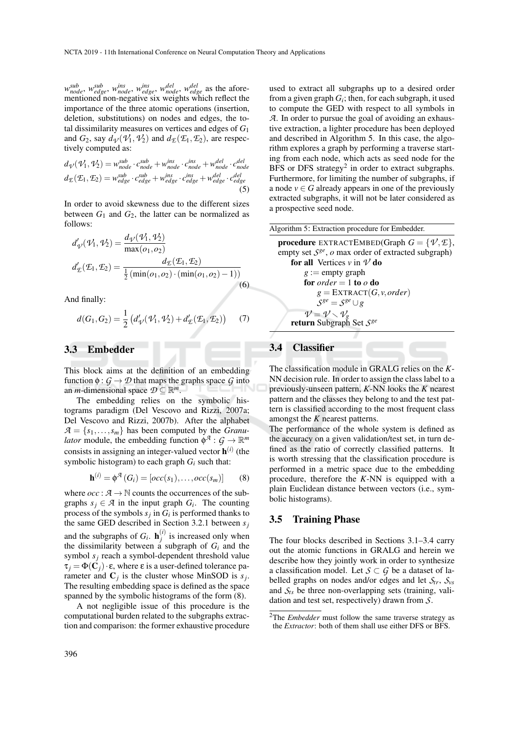*w sub node*, *w sub edge*, *w ins node*, *w ins edge*, *w del node*, *w del edge* as the aforementioned non-negative six weights which reflect the importance of the three atomic operations (insertion, deletion, substitutions) on nodes and edges, the total dissimilarity measures on vertices and edges of *G*<sup>1</sup> and  $G_2$ , say  $d_{\mathcal{V}}(\mathcal{V}_1, \mathcal{V}_2)$  and  $d_{\mathcal{E}}(\mathcal{E}_1, \mathcal{E}_2)$ , are respectively computed as:

$$
d_{\mathcal{V}}(\mathcal{V}_1, \mathcal{V}_2) = w_{node}^{sub} \cdot c_{node}^{sub} + w_{node}^{ins} \cdot c_{node}^{ins} + w_{node}^{del} \cdot c_{node}^{del}
$$
  

$$
d_{\mathcal{L}}(\mathcal{E}_1, \mathcal{E}_2) = w_{edge}^{sub} \cdot c_{edge}^{sub} + w_{edge}^{ins} \cdot c_{edge}^{ins} + w_{edge}^{del} \cdot c_{edge}^{del}
$$
 (5)

In order to avoid skewness due to the different sizes between  $G_1$  and  $G_2$ , the latter can be normalized as follows:

$$
d'_{\psi}(\mathcal{V}_1, \mathcal{V}_2) = \frac{d_{\psi}(\mathcal{V}_1, \mathcal{V}_2)}{\max(o_1, o_2)}
$$
  

$$
d'_{\mathcal{E}}(\mathcal{E}_1, \mathcal{E}_2) = \frac{d_{\mathcal{E}}(\mathcal{E}_1, \mathcal{E}_2)}{\frac{1}{2}(\min(o_1, o_2) \cdot (\min(o_1, o_2) - 1))}
$$
(6)

And finally:

$$
d(G_1, G_2) = \frac{1}{2} (d'_{\mathcal{V}}(\mathcal{V}_1, \mathcal{V}_2) + d'_{\mathcal{E}}(\mathcal{E}_1, \mathcal{E}_2))
$$
 (7)

## 3.3 Embedder

This block aims at the definition of an embedding function  $\phi$  :  $G \rightarrow \mathcal{D}$  that maps the graphs space  $G$  into an *m*-dimensional space  $D \subseteq \mathbb{R}^m$ .

The embedding relies on the symbolic histograms paradigm (Del Vescovo and Rizzi, 2007a; Del Vescovo and Rizzi, 2007b). After the alphabet  $A = \{s_1, \ldots, s_m\}$  has been computed by the *Granulator* module, the embedding function  $\phi^A$ :  $G \to \mathbb{R}^m$ consists in assigning an integer-valued vector h (*i*) (the symbolic histogram) to each graph  $G_i$  such that:

$$
\mathbf{h}^{(i)} = \phi^{\mathcal{A}}(G_i) = [occ(s_1), \dots, occ(s_m)] \qquad (8)
$$

where  $occ : A \rightarrow \mathbb{N}$  counts the occurrences of the subgraphs  $s_j \in \mathcal{A}$  in the input graph  $G_i$ . The counting process of the symbols  $s_j$  in  $G_i$  is performed thanks to the same GED described in Section 3.2.1 between *s<sup>j</sup>* and the subgraphs of  $G_i$ . **h**<sup>(*i*)</sup>)  $j^{(l)}$  is increased only when the dissimilarity between a subgraph of  $G_i$  and the symbol *s<sup>j</sup>* reach a symbol-dependent threshold value  $\tau_j = \Phi(\mathbf{C}_j) \cdot \mathbf{\varepsilon}$ , where  $\varepsilon$  is a user-defined tolerance parameter and  $C_j$  is the cluster whose MinSOD is  $s_j$ . The resulting embedding space is defined as the space spanned by the symbolic histograms of the form (8).

A not negligible issue of this procedure is the computational burden related to the subgraphs extraction and comparison: the former exhaustive procedure

used to extract all subgraphs up to a desired order from a given graph  $G_i$ ; then, for each subgraph, it used to compute the GED with respect to all symbols in *A*. In order to pursue the goal of avoiding an exhaustive extraction, a lighter procedure has been deployed and described in Algorithm 5. In this case, the algorithm explores a graph by performing a traverse starting from each node, which acts as seed node for the BFS or DFS strategy<sup>2</sup> in order to extract subgraphs. Furthermore, for limiting the number of subgraphs, if a node  $v \in G$  already appears in one of the previously extracted subgraphs, it will not be later considered as a prospective seed node.



## 3.4 Classifier

The classification module in GRALG relies on the *K*-NN decision rule. In order to assign the class label to a previously-unseen pattern, *K*-NN looks the *K* nearest pattern and the classes they belong to and the test pattern is classified according to the most frequent class amongst the *K* nearest patterns.

The performance of the whole system is defined as the accuracy on a given validation/test set, in turn defined as the ratio of correctly classified patterns. It is worth stressing that the classification procedure is performed in a metric space due to the embedding procedure, therefore the *K*-NN is equipped with a plain Euclidean distance between vectors (i.e., symbolic histograms).

### 3.5 Training Phase

The four blocks described in Sections 3.1–3.4 carry out the atomic functions in GRALG and herein we describe how they jointly work in order to synthesize a classification model. Let  $S \subset G$  be a dataset of labelled graphs on nodes and/or edges and let  $S_{tr}$ ,  $S_{vs}$ and  $S_t$ <sub>s</sub> be three non-overlapping sets (training, validation and test set, respectively) drawn from *S*.

<sup>2</sup>The *Embedder* must follow the same traverse strategy as the *Extractor*: both of them shall use either DFS or BFS.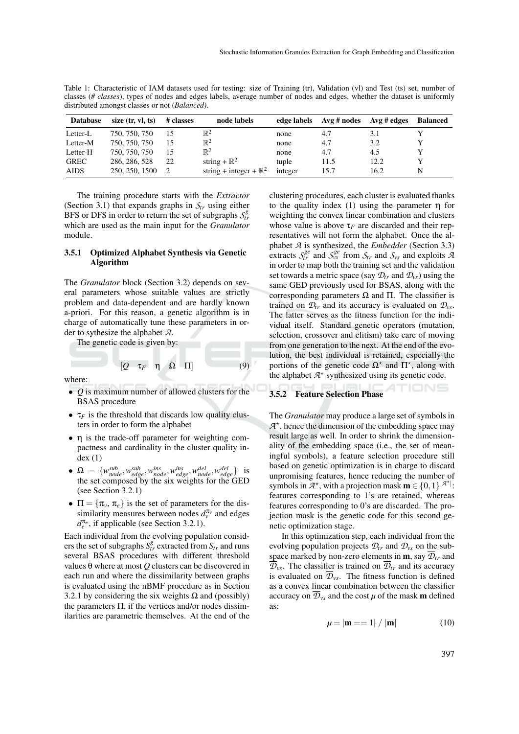Table 1: Characteristic of IAM datasets used for testing: size of Training (tr), Validation (vl) and Test (ts) set, number of classes (*# classes*), types of nodes and edges labels, average number of nodes and edges, whether the dataset is uniformly distributed amongst classes or not (*Balanced)*.

| <b>Database</b> | size $(tr, vl, ts)$ | # classes | node labels                       | edge labels | $Avg \# nodes$ | Avg # edges | <b>Balanced</b> |
|-----------------|---------------------|-----------|-----------------------------------|-------------|----------------|-------------|-----------------|
| Letter-L        | 750, 750, 750       | 15        | $\mathbb{R}^2$                    | none        | 4.7            | 3.1         |                 |
| Letter-M        | 750, 750, 750       | 15        | $\mathbb{R}^2$                    | none        | 4.7            | 3.2         |                 |
| Letter-H        | 750, 750, 750       | 15        | $\mathbb{R}^2$                    | none        | 4.7            | 4.5         |                 |
| <b>GREC</b>     | 286, 286, 528       | 22        | string + $\mathbb{R}^2$           | tuple       | 11.5           | 12.2        |                 |
| <b>AIDS</b>     | 250, 250, 1500      |           | string + integer + $\mathbb{R}^2$ | integer     | 15.7           | 16.2        | N               |

The training procedure starts with the *Extractor* (Section 3.1) that expands graphs in  $S_{tr}$  using either BFS or DFS in order to return the set of subgraphs  $S_t^g$ which are used as the main input for the *Granulator* module.

#### 3.5.1 Optimized Alphabet Synthesis via Genetic Algorithm

The *Granulator* block (Section 3.2) depends on several parameters whose suitable values are strictly problem and data-dependent and are hardly known a-priori. For this reason, a genetic algorithm is in charge of automatically tune these parameters in order to sythesize the alphabet *A*.

The genetic code is given by:

where:

• *Q* is maximum number of allowed clusters for the BSAS procedure

 $[Q \quad \tau_F \quad \eta \quad \Omega \quad \Pi]$  (9)

- $\tau_F$  is the threshold that discards low quality clusters in order to form the alphabet
- η is the trade-off parameter for weighting compactness and cardinality in the cluster quality in $dex$   $(1)$
- $\Omega = \{w_{node}^{sub}, w_{edge}^{sub}, w_{node}^{ins}, w_{edge}^{ins}, w_{node}^{del}, w_{edge}^{del}\}$  is the set composed by the six weights for the GED (see Section 3.2.1)
- $\Pi = {\pi_v, \pi_e}$  is the set of parameters for the dissimilarity measures between nodes  $d_v^{\pi_v}$  and edges  $d_e^{\pi_e}$ , if applicable (see Section 3.2.1).

Each individual from the evolving population considers the set of subgraphs  $S_{tr}^g$  extracted from  $S_{tr}$  and runs several BSAS procedures with different threshold values θ where at most *Q* clusters can be discovered in each run and where the dissimilarity between graphs is evaluated using the nBMF procedure as in Section 3.2.1 by considering the six weights  $\Omega$  and (possibly) the parameters  $\Pi$ , if the vertices and/or nodes dissimilarities are parametric themselves. At the end of the clustering procedures, each cluster is evaluated thanks to the quality index (1) using the parameter  $\eta$  for weighting the convex linear combination and clusters whose value is above  $\tau_F$  are discarded and their representatives will not form the alphabet. Once the alphabet *A* is synthesized, the *Embedder* (Section 3.3) extracts  $S_{tr}^{ge}$  and  $S_{vs}^{ge}$  from  $S_{tr}$  and  $S_{vs}$  and exploits *A* in order to map both the training set and the validation set towards a metric space (say  $\mathcal{D}_{tr}$  and  $\mathcal{D}_{vs}$ ) using the same GED previously used for BSAS, along with the corresponding parameters Ω and Π. The classifier is trained on  $\mathcal{D}_{tr}$  and its accuracy is evaluated on  $\mathcal{D}_{vs}$ . The latter serves as the fitness function for the individual itself. Standard genetic operators (mutation, selection, crossover and elitism) take care of moving from one generation to the next. At the end of the evolution, the best individual is retained, especially the portions of the genetic code  $\Omega^*$  and  $\Pi^*$ , along with the alphabet  $A^*$  synthesized using its genetic code.

#### 3.5.2 Feature Selection Phase

The *Granulator* may produce a large set of symbols in  $A^*$ , hence the dimension of the embedding space may result large as well. In order to shrink the dimensionality of the embedding space (i.e., the set of meaningful symbols), a feature selection procedure still based on genetic optimization is in charge to discard unpromising features, hence reducing the number of symbols in  $A^*$ , with a projection mask  $\mathbf{m} \in \{0,1\}^{|A^*|}$ . features corresponding to 1's are retained, whereas features corresponding to 0's are discarded. The projection mask is the genetic code for this second genetic optimization stage.

In this optimization step, each individual from the evolving population projects  $\mathcal{D}_{tr}$  and  $\mathcal{D}_{vs}$  on the subspace marked by non-zero elements in **m**, say  $\overline{\mathcal{D}}_{tr}$  and  $\overline{\mathcal{D}}_{vs}$ . The classifier is trained on  $\overline{\mathcal{D}}_{tr}$  and its accuracy is evaluated on  $\overline{\mathcal{D}}_{\nu s}$ . The fitness function is defined as a convex linear combination between the classifier accuracy on  $\overline{\mathcal{D}}_{\nu s}$  and the cost  $\mu$  of the mask **m** defined as:

$$
\mu = |\mathbf{m} == 1| / |\mathbf{m}| \tag{10}
$$

TIONS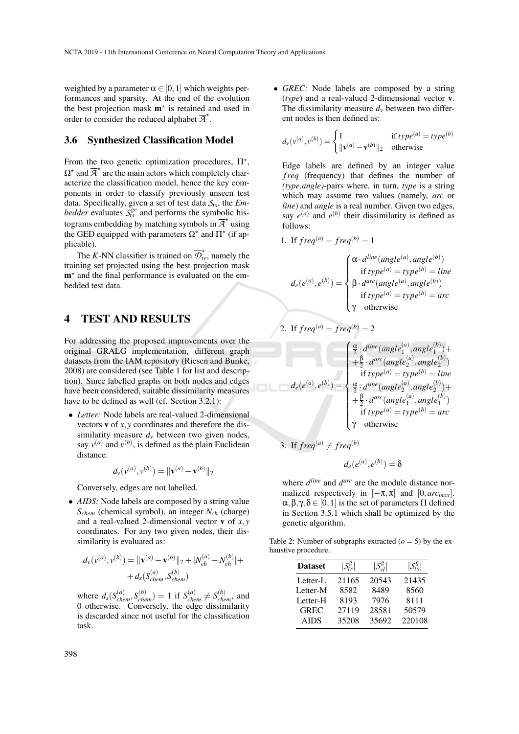weighted by a parameter  $\alpha \in [0,1]$  which weights performances and sparsity. At the end of the evolution the best projection mask  $m^*$  is retained and used in order to consider the reduced alphabet  $\overline{A}^*$ .

## 3.6 Synthesized Classification Model

From the two genetic optimization procedures,  $\Pi^*$ ,  $\Omega^*$  and  $\overline{A}^*$  are the main actors which completely characterize the classification model, hence the key components in order to classify previously unseen test data. Specifically, given a set of test data *Sts*, the *Embedder* evaluates  $S_{ts}^{ge}$  and performs the symbolic histograms embedding by matching symbols in  $\overline{A}^*$  using the GED equipped with parameters  $\Omega^*$  and  $\Pi^*$  (if applicable).

The *K*-NN classifier is trained on  $\overline{\mathcal{D}}_{tr}^{\star}$ , namely the training set projected using the best projection mask  $m<sup>*</sup>$  and the final performance is evaluated on the embedded test data.

## 4 TEST AND RESULTS

For addressing the proposed improvements over the original GRALG implementation, different graph datasets from the IAM repository (Riesen and Bunke, 2008) are considered (see Table 1 for list and description). Since labelled graphs on both nodes and edges have been considered, suitable dissimilarity measures have to be defined as well (cf. Section 3.2.1):

• *Letter:* Node labels are real-valued 2-dimensional vectors v of *x*, *y* coordinates and therefore the dissimilarity measure  $d<sub>v</sub>$  between two given nodes, say  $v^{(a)}$  and  $v^{(b)}$ , is defined as the plain Euclidean distance:

$$
d_{\nu}(v^{(a)}, v^{(b)}) = ||\mathbf{v}^{(a)} - \mathbf{v}^{(b)}||_2
$$

Conversely, edges are not labelled.

• *AIDS*: Node labels are composed by a string value *Schem* (chemical symbol), an integer *Nch* (charge) and a real-valued 2-dimensional vector v of *x*, *y* coordinates. For any two given nodes, their dissimilarity is evaluated as:

$$
d_{\nu}(v^{(a)}, v^{(b)}) = ||\mathbf{v}^{(a)} - \mathbf{v}^{(b)}||_2 + |N_{ch}^{(a)} - N_{ch}^{(b)}| +
$$
  
+  $d_{s}(S_{chem}^{(a)}, S_{chem}^{(b)})$ 

where  $d_s(S_{chem}^{(a)}, S_{chem}^{(b)}) = 1$  if  $S_{chem}^{(a)} \neq S_{chem}^{(b)}$ , and 0 otherwise. Conversely, the edge dissimilarity is discarded since not useful for the classification task.

• *GREC:* Node labels are composed by a string (*type*) and a real-valued 2-dimensional vector v. The dissimilarity measure  $d<sub>v</sub>$  between two different nodes is then defined as:

$$
d_v(v^{(a)}, v^{(b)}) = \begin{cases} 1 & \text{if type}^{(a)} = type^{(b)} \\ \|\mathbf{v}^{(a)} - \mathbf{v}^{(b)}\|_2 & \text{otherwise} \end{cases}
$$

Edge labels are defined by an integer value *f req* (frequency) that defines the number of *(type,angle)*-pairs where, in turn, *type* is a string which may assume two values (namely, *arc* or *line*) and *angle* is a real number. Given two edges, say  $e^{(a)}$  and  $e^{(b)}$  their dissimilarity is defined as follows:

1. If 
$$
freq^{(a)} = freq^{(b)} = 1
$$

$$
d_e(e^{(a)}, e^{(b)}) = \begin{cases} \alpha \cdot d^{\text{line}}(angle^{(a)}, angle^{(b)}) \\ \text{if type}^{(a)} = type^{(b)} = line \\ \beta \cdot d^{\text{arc}}(angle^{(a)}, angle^{(b)}) \\ \text{if type}^{(a)} = type^{(b)} = arc \\ \gamma \quad \text{otherwise} \end{cases}
$$

2. If 
$$
freq^{(a)} = freq^{(b)} = 2
$$
  
\n
$$
\begin{cases}\n\frac{\alpha}{2} \cdot d^{line}(angle_1^{(a)}, angle_1^{(b)}) + \frac{\beta}{2} \cdot d^{arc}(angle_2^{(a)}, angle_2^{(b)}) \\
\quad + \frac{\beta}{2} \cdot d^{arc}(angle_2^{(a)}, angle_2^{(b)})\n\end{cases}
$$
\nif  $type^{(a)} = type^{(b)} = line$   
\n
$$
\frac{\alpha}{2} \cdot d^{line}(angle_2^{(a)}, angle_2^{(b)}) + \frac{\beta}{2} \cdot d^{arc}(angle_1^{(a)}, angle_1^{(b)})
$$
\nif  $type^{(a)} = type^{(b)} = arc$   
\n
$$
\gamma
$$
 otherwise

3. If 
$$
freq^{(a)} \neq freq^{(b)}
$$
  
\n $d_e(e^{(a)}, e^{(b)}) = \delta$ 

where  $d^{line}$  and  $d^{arc}$  are the module distance normalized respectively in  $[-\pi, \pi]$  and  $[0, \arctan x]$ .  $\alpha, \beta, \gamma, \delta \in [0,1]$  is the set of parameters  $\Pi$  defined in Section 3.5.1 which shall be optimized by the genetic algorithm.

Table 2: Number of subgraphs extracted  $(o = 5)$  by the exhaustive procedure.

| <b>Dataset</b> | $ \mathcal{S}_{tr}^g $ | $ \mathcal{S}_{\nu l}^g $ | $ \mathcal{S}^g_{t\mathrm{c}} $ |
|----------------|------------------------|---------------------------|---------------------------------|
| Letter-L       | 21165                  | 20543                     | 21435                           |
| Letter-M       | 8582                   | 8489                      | 8560                            |
| Letter-H       | 8193                   | 7976                      | 8111                            |
| <b>GREC</b>    | 27119                  | 28581                     | 50579                           |
| <b>AIDS</b>    | 35208                  | 35692                     | 220108                          |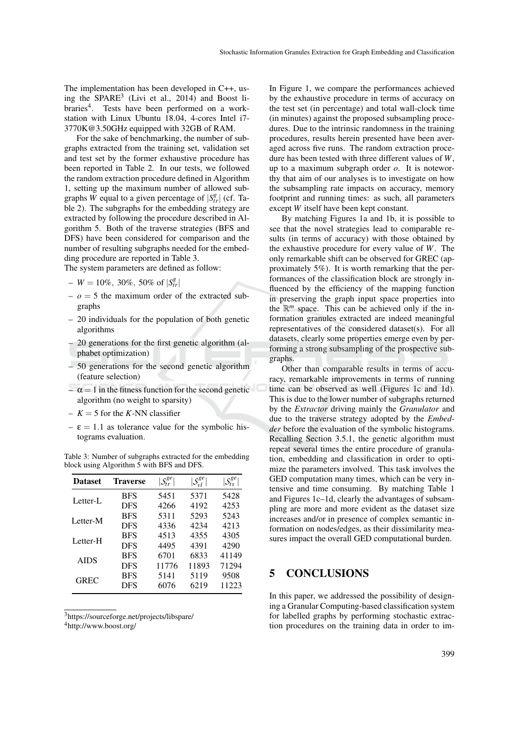The implementation has been developed in C++, using the SPARE<sup>3</sup> (Livi et al., 2014) and Boost libraries<sup>4</sup>. Tests have been performed on a workstation with Linux Ubuntu 18.04, 4-cores Intel i7- 3770K@3.50GHz equipped with 32GB of RAM.

For the sake of benchmarking, the number of subgraphs extracted from the training set, validation set and test set by the former exhaustive procedure has been reported in Table 2. In our tests, we followed the random extraction procedure defined in Algorithm 1, setting up the maximum number of allowed subgraphs *W* equal to a given percentage of  $|S_{tr}^g|$  (cf. Table 2). The subgraphs for the embedding strategy are extracted by following the procedure described in Algorithm 5. Both of the traverse strategies (BFS and DFS) have been considered for comparison and the number of resulting subgraphs needed for the embedding procedure are reported in Table 3.

The system parameters are defined as follow:

- $-W = 10\%, 30\%, 50\% \text{ of } |S_{tr}^g|$
- $\rho = 5$  the maximum order of the extracted subgraphs
- 20 individuals for the population of both genetic algorithms
- 20 generations for the first genetic algorithm (alphabet optimization)
- 50 generations for the second genetic algorithm (feature selection)
- $-\alpha = 1$  in the fitness function for the second genetic algorithm (no weight to sparsity)
- $-K = 5$  for the *K*-NN classifier
- $-\varepsilon = 1.1$  as tolerance value for the symbolic histograms evaluation.

| <b>Dataset</b> | <b>Traverse</b> | $\vert S^{ge}_{tr}$ | $S^{ge}_{vl}$ | $S_{ts}^{ge}$ |
|----------------|-----------------|---------------------|---------------|---------------|
| Letter-L       | <b>BFS</b>      | 5451                | 5371          | 5428          |
|                | <b>DFS</b>      | 4266                | 4192          | 4253          |
| Letter-M       | <b>BFS</b>      | 5311                | 5293          | 5243          |
|                | <b>DFS</b>      | 4336                | 4234          | 4213          |
| Letter-H       | <b>BFS</b>      | 4513                | 4355          | 4305          |
|                | <b>DFS</b>      | 4495                | 4391          | 4290          |
| <b>AIDS</b>    | <b>BFS</b>      | 6701                | 6833          | 41149         |
|                | <b>DFS</b>      | 11776               | 11893         | 71294         |
| <b>GREC</b>    | <b>BFS</b>      | 5141                | 5119          | 9508          |
|                | DFS             | 6076                | 6219          | 11223         |
|                |                 |                     |               |               |

Table 3: Number of subgraphs extracted for the embedding block using Algorithm 5 with BFS and DFS.

<sup>3</sup>https://sourceforge.net/projects/libspare/ <sup>4</sup>http://www.boost.org/

In Figure 1, we compare the performances achieved by the exhaustive procedure in terms of accuracy on the test set (in percentage) and total wall-clock time (in minutes) against the proposed subsampling procedures. Due to the intrinsic randomness in the training procedures, results herein presented have been averaged across five runs. The random extraction procedure has been tested with three different values of *W*, up to a maximum subgraph order *o*. It is noteworthy that aim of our analyses is to investigate on how the subsampling rate impacts on accuracy, memory footprint and running times: as such, all parameters except *W* itself have been kept constant.

By matching Figures 1a and 1b, it is possible to see that the novel strategies lead to comparable results (in terms of accuracy) with those obtained by the exhaustive procedure for every value of *W*. The only remarkable shift can be observed for GREC (approximately 5%). It is worth remarking that the performances of the classification block are strongly influenced by the efficiency of the mapping function in preserving the graph input space properties into the R *<sup>m</sup>* space. This can be achieved only if the information granules extracted are indeed meaningful representatives of the considered dataset(s). For all datasets, clearly some properties emerge even by performing a strong subsampling of the prospective subgraphs.

Other than comparable results in terms of accuracy, remarkable improvements in terms of running time can be observed as well (Figures 1c and 1d). This is due to the lower number of subgraphs returned by the *Extractor* driving mainly the *Granulator* and due to the traverse strategy adopted by the *Embedder* before the evaluation of the symbolic histograms. Recalling Section 3.5.1, the genetic algorithm must repeat several times the entire procedure of granulation, embedding and classification in order to optimize the parameters involved. This task involves the GED computation many times, which can be very intensive and time consuming. By matching Table 1 and Figures 1c–1d, clearly the advantages of subsampling are more and more evident as the dataset size increases and/or in presence of complex semantic information on nodes/edges, as their dissimilarity measures impact the overall GED computational burden.

## 5 CONCLUSIONS

In this paper, we addressed the possibility of designing a Granular Computing-based classification system for labelled graphs by performing stochastic extraction procedures on the training data in order to im-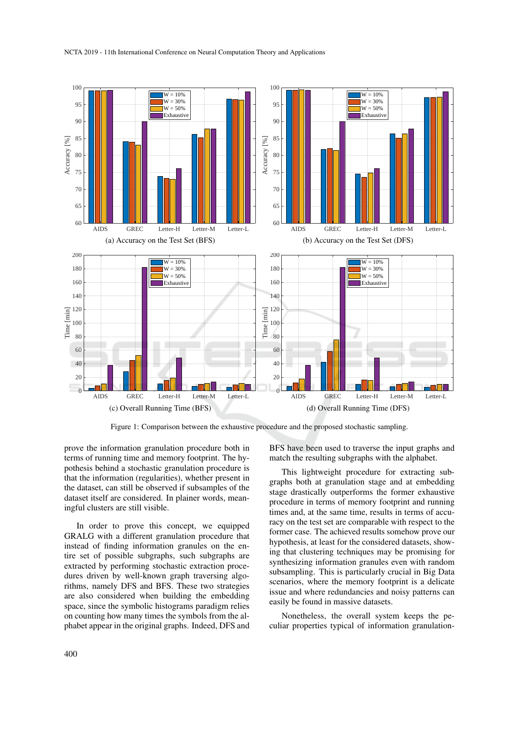

Figure 1: Comparison between the exhaustive procedure and the proposed stochastic sampling.

prove the information granulation procedure both in terms of running time and memory footprint. The hypothesis behind a stochastic granulation procedure is that the information (regularities), whether present in the dataset, can still be observed if subsamples of the dataset itself are considered. In plainer words, meaningful clusters are still visible.

In order to prove this concept, we equipped GRALG with a different granulation procedure that instead of finding information granules on the entire set of possible subgraphs, such subgraphs are extracted by performing stochastic extraction procedures driven by well-known graph traversing algorithms, namely DFS and BFS. These two strategies are also considered when building the embedding space, since the symbolic histograms paradigm relies on counting how many times the symbols from the alphabet appear in the original graphs. Indeed, DFS and

BFS have been used to traverse the input graphs and match the resulting subgraphs with the alphabet.

This lightweight procedure for extracting subgraphs both at granulation stage and at embedding stage drastically outperforms the former exhaustive procedure in terms of memory footprint and running times and, at the same time, results in terms of accuracy on the test set are comparable with respect to the former case. The achieved results somehow prove our hypothesis, at least for the considered datasets, showing that clustering techniques may be promising for synthesizing information granules even with random subsampling. This is particularly crucial in Big Data scenarios, where the memory footprint is a delicate issue and where redundancies and noisy patterns can easily be found in massive datasets.

Nonetheless, the overall system keeps the peculiar properties typical of information granulation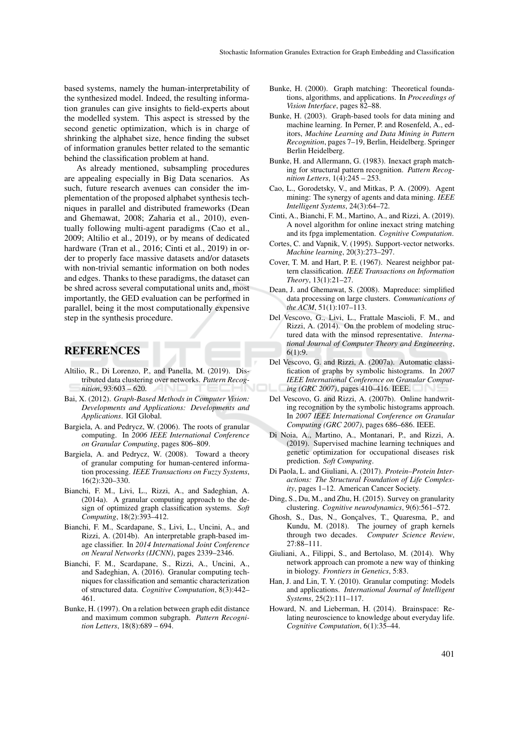based systems, namely the human-interpretability of the synthesized model. Indeed, the resulting information granules can give insights to field-experts about the modelled system. This aspect is stressed by the second genetic optimization, which is in charge of shrinking the alphabet size, hence finding the subset of information granules better related to the semantic behind the classification problem at hand.

As already mentioned, subsampling procedures are appealing especially in Big Data scenarios. As such, future research avenues can consider the implementation of the proposed alphabet synthesis techniques in parallel and distributed frameworks (Dean and Ghemawat, 2008; Zaharia et al., 2010), eventually following multi-agent paradigms (Cao et al., 2009; Altilio et al., 2019), or by means of dedicated hardware (Tran et al., 2016; Cinti et al., 2019) in order to properly face massive datasets and/or datasets with non-trivial semantic information on both nodes and edges. Thanks to these paradigms, the dataset can be shred across several computational units and, most importantly, the GED evaluation can be performed in parallel, being it the most computationally expensive step in the synthesis procedure.

## **REFERENCES**

- Altilio, R., Di Lorenzo, P., and Panella, M. (2019). Distributed data clustering over networks. *Pattern Recognition*, 93:603 – 620.
- Bai, X. (2012). *Graph-Based Methods in Computer Vision: Developments and Applications: Developments and Applications*. IGI Global.
- Bargiela, A. and Pedrycz, W. (2006). The roots of granular computing. In *2006 IEEE International Conference on Granular Computing*, pages 806–809.
- Bargiela, A. and Pedrycz, W. (2008). Toward a theory of granular computing for human-centered information processing. *IEEE Transactions on Fuzzy Systems*, 16(2):320–330.
- Bianchi, F. M., Livi, L., Rizzi, A., and Sadeghian, A. (2014a). A granular computing approach to the design of optimized graph classification systems. *Soft Computing*, 18(2):393–412.
- Bianchi, F. M., Scardapane, S., Livi, L., Uncini, A., and Rizzi, A. (2014b). An interpretable graph-based image classifier. In *2014 International Joint Conference on Neural Networks (IJCNN)*, pages 2339–2346.
- Bianchi, F. M., Scardapane, S., Rizzi, A., Uncini, A., and Sadeghian, A. (2016). Granular computing techniques for classification and semantic characterization of structured data. *Cognitive Computation*, 8(3):442– 461.
- Bunke, H. (1997). On a relation between graph edit distance and maximum common subgraph. *Pattern Recognition Letters*, 18(8):689 – 694.
- Bunke, H. (2000). Graph matching: Theoretical foundations, algorithms, and applications. In *Proceedings of Vision Interface*, pages 82–88.
- Bunke, H. (2003). Graph-based tools for data mining and machine learning. In Perner, P. and Rosenfeld, A., editors, *Machine Learning and Data Mining in Pattern Recognition*, pages 7–19, Berlin, Heidelberg. Springer Berlin Heidelberg.
- Bunke, H. and Allermann, G. (1983). Inexact graph matching for structural pattern recognition. *Pattern Recognition Letters*, 1(4):245 – 253.
- Cao, L., Gorodetsky, V., and Mitkas, P. A. (2009). Agent mining: The synergy of agents and data mining. *IEEE Intelligent Systems*, 24(3):64–72.
- Cinti, A., Bianchi, F. M., Martino, A., and Rizzi, A. (2019). A novel algorithm for online inexact string matching and its fpga implementation. *Cognitive Computation*.
- Cortes, C. and Vapnik, V. (1995). Support-vector networks. *Machine learning*, 20(3):273–297.
- Cover, T. M. and Hart, P. E. (1967). Nearest neighbor pattern classification. *IEEE Transactions on Information Theory*, 13(1):21–27.
- Dean, J. and Ghemawat, S. (2008). Mapreduce: simplified data processing on large clusters. *Communications of the ACM*, 51(1):107–113.
- Del Vescovo, G., Livi, L., Frattale Mascioli, F. M., and Rizzi, A. (2014). On the problem of modeling structured data with the minsod representative. *International Journal of Computer Theory and Engineering*, 6(1):9.
- Del Vescovo, G. and Rizzi, A. (2007a). Automatic classification of graphs by symbolic histograms. In *2007 IEEE International Conference on Granular Computing (GRC 2007)*, pages 410–416. IEEE.
- Del Vescovo, G. and Rizzi, A. (2007b). Online handwriting recognition by the symbolic histograms approach. In *2007 IEEE International Conference on Granular Computing (GRC 2007)*, pages 686–686. IEEE.
- Di Noia, A., Martino, A., Montanari, P., and Rizzi, A. (2019). Supervised machine learning techniques and genetic optimization for occupational diseases risk prediction. *Soft Computing*.
- Di Paola, L. and Giuliani, A. (2017). *Protein–Protein Interactions: The Structural Foundation of Life Complexity*, pages 1–12. American Cancer Society.
- Ding, S., Du, M., and Zhu, H. (2015). Survey on granularity clustering. *Cognitive neurodynamics*, 9(6):561–572.
- Ghosh, S., Das, N., Gonçalves, T., Quaresma, P., and Kundu, M. (2018). The journey of graph kernels through two decades. *Computer Science Review*, 27:88–111.
- Giuliani, A., Filippi, S., and Bertolaso, M. (2014). Why network approach can promote a new way of thinking in biology. *Frontiers in Genetics*, 5:83.
- Han, J. and Lin, T. Y. (2010). Granular computing: Models and applications. *International Journal of Intelligent Systems*, 25(2):111–117.
- Howard, N. and Lieberman, H. (2014). Brainspace: Relating neuroscience to knowledge about everyday life. *Cognitive Computation*, 6(1):35–44.